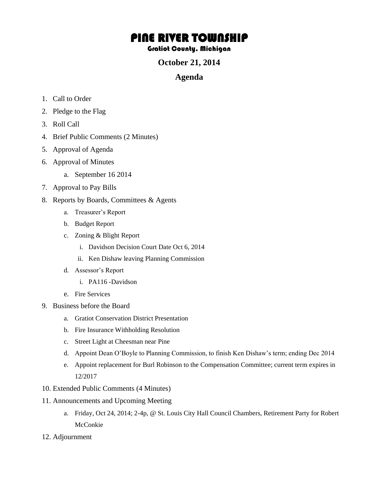# PINE RIVER TOWNSHIP

#### Gratiot County, Michigan

### **October 21, 2014**

## **Agenda**

- 1. Call to Order
- 2. Pledge to the Flag
- 3. Roll Call
- 4. Brief Public Comments (2 Minutes)
- 5. Approval of Agenda
- 6. Approval of Minutes
	- a. September 16 2014
- 7. Approval to Pay Bills
- 8. Reports by Boards, Committees & Agents
	- a. Treasurer's Report
	- b. Budget Report
	- c. Zoning & Blight Report
		- i. Davidson Decision Court Date Oct 6, 2014
		- ii. Ken Dishaw leaving Planning Commission
	- d. Assessor's Report
		- i. PA116 -Davidson
	- e. Fire Services
- 9. Business before the Board
	- a. Gratiot Conservation District Presentation
	- b. Fire Insurance Withholding Resolution
	- c. Street Light at Cheesman near Pine
	- d. Appoint Dean O'Boyle to Planning Commission, to finish Ken Dishaw's term; ending Dec 2014
	- e. Appoint replacement for Burl Robinson to the Compensation Committee; current term expires in 12/2017
- 10. Extended Public Comments (4 Minutes)
- 11. Announcements and Upcoming Meeting
	- a. Friday, Oct 24, 2014; 2-4p, @ St. Louis City Hall Council Chambers, Retirement Party for Robert McConkie
- 12. Adjournment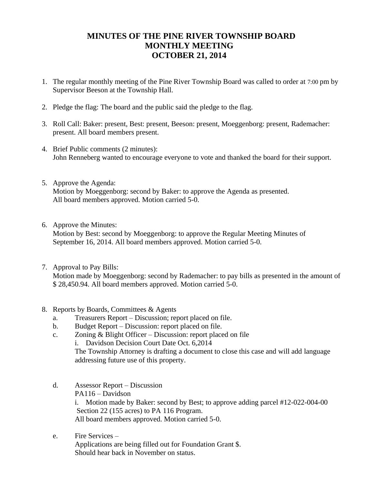# **MINUTES OF THE PINE RIVER TOWNSHIP BOARD MONTHLY MEETING OCTOBER 21, 2014**

- 1. The regular monthly meeting of the Pine River Township Board was called to order at 7:00 pm by Supervisor Beeson at the Township Hall.
- 2. Pledge the flag: The board and the public said the pledge to the flag.
- 3. Roll Call: Baker: present, Best: present, Beeson: present, Moeggenborg: present, Rademacher: present. All board members present.
- 4. Brief Public comments (2 minutes): John Renneberg wanted to encourage everyone to vote and thanked the board for their support.
- 5. Approve the Agenda: Motion by Moeggenborg: second by Baker: to approve the Agenda as presented. All board members approved. Motion carried 5-0.
- 6. Approve the Minutes:

Motion by Best: second by Moeggenborg: to approve the Regular Meeting Minutes of September 16, 2014. All board members approved. Motion carried 5-0.

7. Approval to Pay Bills:

Motion made by Moeggenborg: second by Rademacher: to pay bills as presented in the amount of \$ 28,450.94. All board members approved. Motion carried 5-0.

- 8. Reports by Boards, Committees & Agents
	- a. Treasurers Report Discussion; report placed on file.
	- b. Budget Report Discussion: report placed on file.
	- c. Zoning & Blight Officer Discussion: report placed on file
		- i. Davidson Decision Court Date Oct. 6,2014

The Township Attorney is drafting a document to close this case and will add language addressing future use of this property.

d. Assessor Report – Discussion PA116 – Davidson i. Motion made by Baker: second by Best; to approve adding parcel #12-022-004-00 Section 22 (155 acres) to PA 116 Program.

All board members approved. Motion carried 5-0.

e. Fire Services – Applications are being filled out for Foundation Grant \$. Should hear back in November on status.